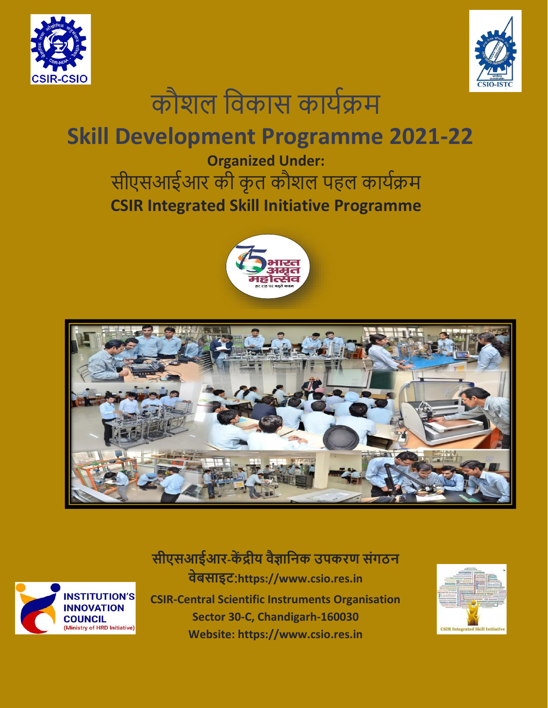





# **Skill Development Programme 2021-22**

**Organized Under:** सीएसआईआर की कृत कौशल पहल कार्यक्रम **CSIR Integrated Skill Initiative Programme**







**सीएसआईआर-कें द्रीय वैज्ञानिक उपकरण संगठि वेबसाइट**:**https://www.csio.res.in CSIR-Central Scientific Instruments Organisation Sector 30-C, Chandigarh-160030 Website: [https://www.csio.res.in](https://www.csio.res.in/)**

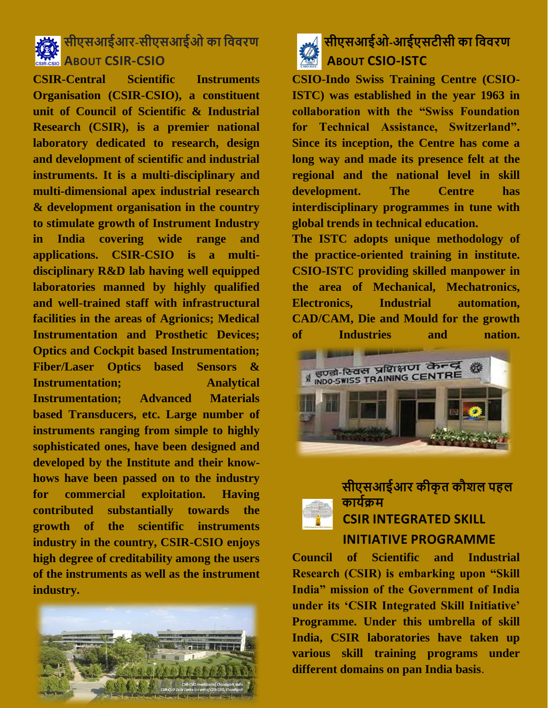

## **सीएसआईआर-सीएसआईओ का नववरण ABOUT CSIR-CSIO**

**CSIR-Central Scientific Instruments Organisation (CSIR-CSIO), a constituent unit of Council of Scientific & Industrial Research (CSIR), is a premier national laboratory dedicated to research, design and development of scientific and industrial instruments. It is a multi-disciplinary and multi-dimensional apex industrial research & development organisation in the country to stimulate growth of Instrument Industry in India covering wide range and applications. CSIR-CSIO is a multidisciplinary R&D lab having well equipped laboratories manned by highly qualified and well-trained staff with infrastructural facilities in the areas of Agrionics; Medical Instrumentation and Prosthetic Devices; Optics and Cockpit based Instrumentation; Fiber/Laser Optics based Sensors & Instrumentation; Analytical Instrumentation; Advanced Materials based Transducers, etc. Large number of instruments ranging from simple to highly sophisticated ones, have been designed and developed by the Institute and their knowhows have been passed on to the industry for commercial exploitation. Having contributed substantially towards the growth of the scientific instruments industry in the country, CSIR-CSIO enjoys high degree of creditability among the users of the instruments as well as the instrument industry.**



## **सीएसआईओ-आईएसटीसी का नववरण ABOUT CSIO-ISTC**

**CSIO-Indo Swiss Training Centre (CSIO-ISTC) was established in the year 1963 in collaboration with the "Swiss Foundation for Technical Assistance, Switzerland". Since its inception, the Centre has come a long way and made its presence felt at the regional and the national level in skill development. The Centre has interdisciplinary programmes in tune with global trends in technical education.**

**The ISTC adopts unique methodology of the practice-oriented training in institute. CSIO-ISTC providing skilled manpower in the area of Mechanical, Mechatronics, Electronics, Industrial automation, CAD/CAM, Die and Mould for the growth of Industries and nation.**



### **सीएसआईआर कीकृ त कौशल पहल काययक्रम CSIR INTEGRATED SKILL INITIATIVE PROGRAMME**

**Council of Scientific and Industrial Research (CSIR) is embarking upon "Skill India" mission of the Government of India under its 'CSIR Integrated Skill Initiative' Programme. Under this umbrella of skill India, CSIR laboratories have taken up various skill training programs under different domains on pan India basis**.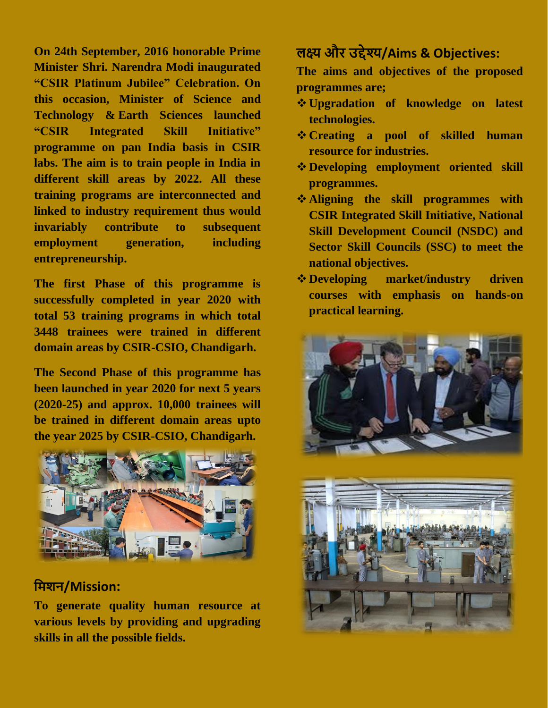**On 24th September, 2016 honorable Prime Minister Shri. Narendra Modi inaugurated "CSIR Platinum Jubilee" Celebration. On this occasion, [Minister of Science](https://en.wikipedia.org/wiki/Ministry_of_Science_and_Technology_(India)) and [Technology](https://en.wikipedia.org/wiki/Ministry_of_Science_and_Technology_(India)) & [Earth](https://en.wikipedia.org/wiki/Ministry_of_Earth_Sciences) Sciences launched "CSIR Integrated Skill Initiative" programme on pan India basis in CSIR labs. The aim is to train people in India in different skill areas by 2022. All these training programs are interconnected and linked to industry requirement thus would invariably contribute to subsequent employment generation, including entrepreneurship.**

**The first Phase of this programme is successfully completed in year 2020 with total 53 training programs in which total 3448 trainees were trained in different domain areas by CSIR-CSIO, Chandigarh.**

**The Second Phase of this programme has been launched in year 2020 for next 5 years (2020-25) and approx. 10,000 trainees will be trained in different domain areas upto the year 2025 by CSIR-CSIO, Chandigarh.**



#### **नमशि/Mission:**

**To generate quality human resource at various levels by providing and upgrading skills in all the possible fields.**

## **लक्ष्य और उद्देश्य/Aims & Objectives:**

**The aims and objectives of the proposed programmes are;**

- ❖ **Upgradation of knowledge on latest technologies.**
- ❖ **Creating a pool of skilled human resource for industries.**
- ❖ **Developing employment oriented skill programmes.**
- ❖ **Aligning the skill programmes with CSIR Integrated Skill Initiative, National Skill Development Council (NSDC) and Sector Skill Councils (SSC) to meet the national objectives.**
- ❖ **Developing market/industry driven courses with emphasis on hands-on practical learning.**



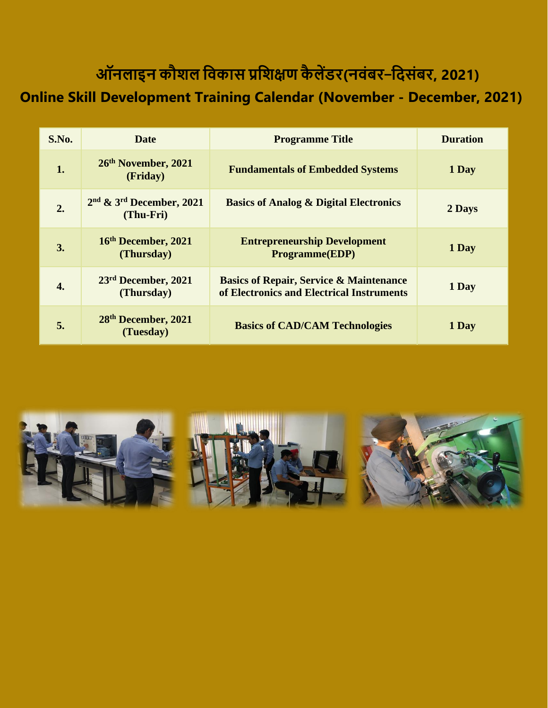# **ऑिलाइि कौशल नवकास प्रनशक्षण कै लेंडर(िवंबर**–**निसंबर, 2021)**

## **Online Skill Development Training Calendar (November - December, 2021)**

| S.No. | <b>Date</b>                                   | <b>Programme Title</b>                                                                          | <b>Duration</b> |
|-------|-----------------------------------------------|-------------------------------------------------------------------------------------------------|-----------------|
| 1.    | 26th November, 2021<br>(Friday)               | <b>Fundamentals of Embedded Systems</b>                                                         | 1 Day           |
| 2.    | $2nd$ & $3rd$ December, 2021<br>(Thu-Fri)     | <b>Basics of Analog &amp; Digital Electronics</b>                                               | 2 Days          |
| 3.    | 16th December, 2021<br>(Thursday)             | <b>Entrepreneurship Development</b><br><b>Programme(EDP)</b>                                    | 1 Day           |
| 4.    | 23 <sup>rd</sup> December, 2021<br>(Thursday) | <b>Basics of Repair, Service &amp; Maintenance</b><br>of Electronics and Electrical Instruments | 1 Day           |
| 5.    | 28th December, 2021<br>(Tuesday)              | <b>Basics of CAD/CAM Technologies</b>                                                           | 1 Day           |